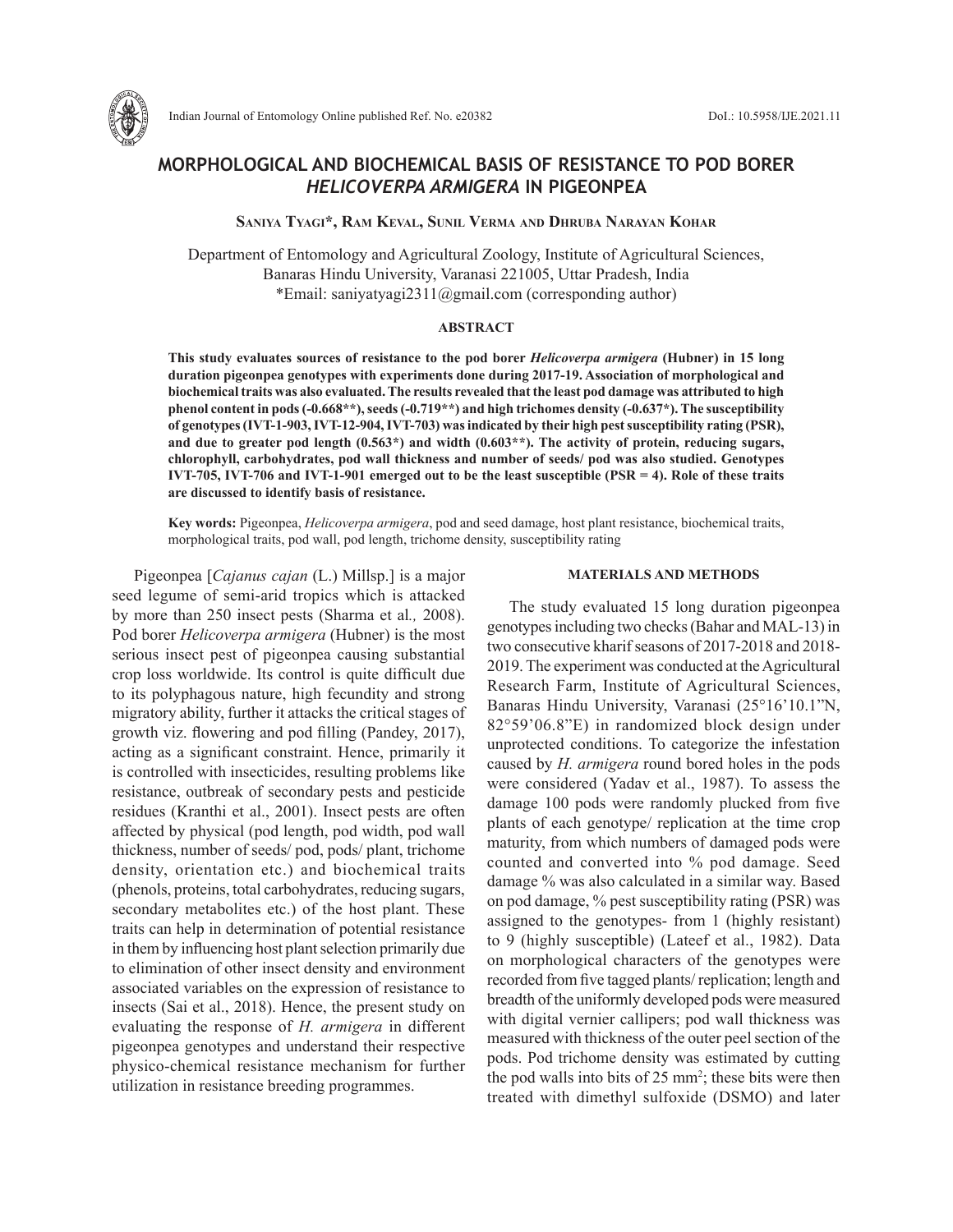

Indian Journal of Entomology Online published Ref. No. e20382 DoI.: 10.5958/IJE.2021.11

# **MORPHOLOGICAL AND BIOCHEMICAL BASIS OF RESISTANCE TO POD BORER**  *HELICOVERPA ARMIGERA* **IN PIGEONPEA**

**Saniya Tyagi\*, Ram Keval, Sunil Verma and Dhruba Narayan Kohar**

Department of Entomology and Agricultural Zoology, Institute of Agricultural Sciences, Banaras Hindu University, Varanasi 221005, Uttar Pradesh, India \*Email: saniyatyagi2311@gmail.com (corresponding author)

## **ABSTRACT**

**This study evaluates sources of resistance to the pod borer** *Helicoverpa armigera* **(Hubner) in 15 long duration pigeonpea genotypes with experiments done during 2017-19. Association of morphological and biochemical traits was also evaluated. The results revealed that the least pod damage was attributed to high phenol content in pods (-0.668\*\*), seeds (-0.719\*\*) and high trichomes density (-0.637\*). The susceptibility of genotypes (IVT-1-903, IVT-12-904, IVT-703) was indicated by their high pest susceptibility rating (PSR), and due to greater pod length (0.563\*) and width (0.603\*\*). The activity of protein, reducing sugars, chlorophyll, carbohydrates, pod wall thickness and number of seeds/ pod was also studied. Genotypes IVT-705, IVT-706 and IVT-1-901 emerged out to be the least susceptible (PSR = 4). Role of these traits are discussed to identify basis of resistance.**

**Key words:** Pigeonpea, *Helicoverpa armigera*, pod and seed damage, host plant resistance, biochemical traits, morphological traits, pod wall, pod length, trichome density, susceptibility rating

Pigeonpea [*Cajanus cajan* (L.) Millsp.] is a major seed legume of semi-arid tropics which is attacked by more than 250 insect pests (Sharma et al*.,* 2008). Pod borer *Helicoverpa armigera* (Hubner) is the most serious insect pest of pigeonpea causing substantial crop loss worldwide. Its control is quite difficult due to its polyphagous nature, high fecundity and strong migratory ability, further it attacks the critical stages of growth viz. flowering and pod filling (Pandey, 2017), acting as a significant constraint. Hence, primarily it is controlled with insecticides, resulting problems like resistance, outbreak of secondary pests and pesticide residues (Kranthi et al., 2001). Insect pests are often affected by physical (pod length, pod width, pod wall thickness, number of seeds/ pod, pods/ plant, trichome density, orientation etc.) and biochemical traits (phenols, proteins, total carbohydrates, reducing sugars, secondary metabolites etc.) of the host plant. These traits can help in determination of potential resistance in them by influencing host plant selection primarily due to elimination of other insect density and environment associated variables on the expression of resistance to insects (Sai et al., 2018). Hence, the present study on evaluating the response of *H. armigera* in different pigeonpea genotypes and understand their respective physico-chemical resistance mechanism for further utilization in resistance breeding programmes.

### **MATERIALS AND METHODS**

The study evaluated 15 long duration pigeonpea genotypes including two checks (Bahar and MAL-13) in two consecutive kharif seasons of 2017-2018 and 2018- 2019. The experiment was conducted at the Agricultural Research Farm, Institute of Agricultural Sciences, Banaras Hindu University, Varanasi (25°16'10.1"N, 82°59'06.8"E) in randomized block design under unprotected conditions. To categorize the infestation caused by *H. armigera* round bored holes in the pods were considered (Yadav et al., 1987). To assess the damage 100 pods were randomly plucked from five plants of each genotype/ replication at the time crop maturity, from which numbers of damaged pods were counted and converted into % pod damage. Seed damage % was also calculated in a similar way. Based on pod damage, % pest susceptibility rating (PSR) was assigned to the genotypes- from 1 (highly resistant) to 9 (highly susceptible) (Lateef et al., 1982). Data on morphological characters of the genotypes were recorded from five tagged plants/ replication; length and breadth of the uniformly developed pods were measured with digital vernier callipers; pod wall thickness was measured with thickness of the outer peel section of the pods. Pod trichome density was estimated by cutting the pod walls into bits of 25 mm<sup>2</sup>; these bits were then treated with dimethyl sulfoxide (DSMO) and later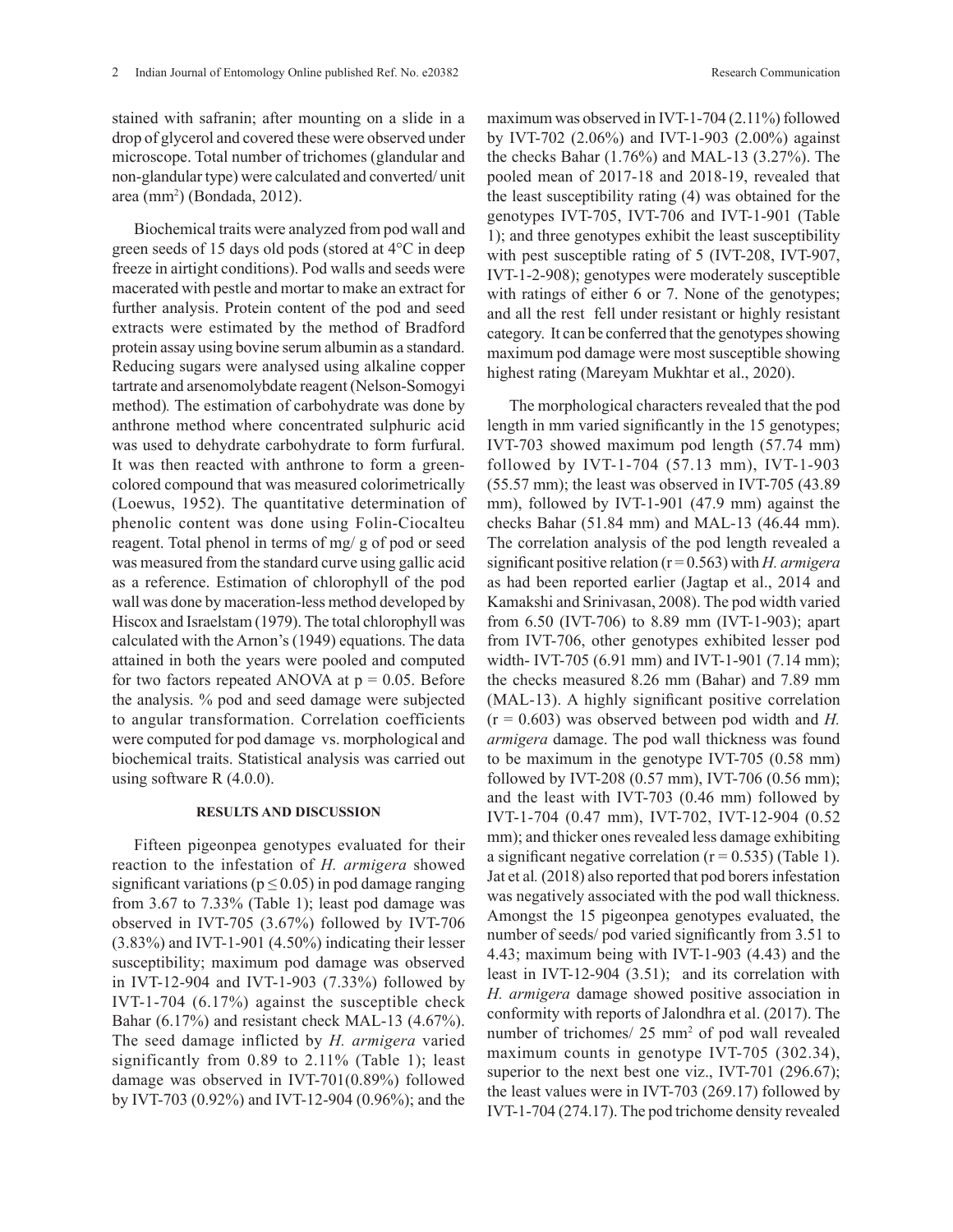stained with safranin; after mounting on a slide in a drop of glycerol and covered these were observed under microscope. Total number of trichomes (glandular and non-glandular type) were calculated and converted/ unit area (mm2 ) (Bondada, 2012).

Biochemical traits were analyzed from pod wall and green seeds of 15 days old pods (stored at 4°C in deep freeze in airtight conditions). Pod walls and seeds were macerated with pestle and mortar to make an extract for further analysis. Protein content of the pod and seed extracts were estimated by the method of Bradford protein assay using bovine serum albumin as a standard. Reducing sugars were analysed using alkaline copper tartrate and arsenomolybdate reagent (Nelson-Somogyi method)*.* The estimation of carbohydrate was done by anthrone method where concentrated sulphuric acid was used to dehydrate carbohydrate to form furfural. It was then reacted with anthrone to form a greencolored compound that was measured colorimetrically (Loewus, 1952). The quantitative determination of phenolic content was done using Folin-Ciocalteu reagent. Total phenol in terms of mg/ g of pod or seed was measured from the standard curve using gallic acid as a reference. Estimation of chlorophyll of the pod wall was done by maceration-less method developed by Hiscox and Israelstam (1979). The total chlorophyll was calculated with the Arnon's (1949) equations. The data attained in both the years were pooled and computed for two factors repeated ANOVA at  $p = 0.05$ . Before the analysis. % pod and seed damage were subjected to angular transformation. Correlation coefficients were computed for pod damage vs. morphological and biochemical traits. Statistical analysis was carried out using software R (4.0.0).

## **RESULTS AND DISCUSSION**

Fifteen pigeonpea genotypes evaluated for their reaction to the infestation of *H. armigera* showed significant variations ( $p \le 0.05$ ) in pod damage ranging from 3.67 to 7.33% (Table 1); least pod damage was observed in IVT-705 (3.67%) followed by IVT-706 (3.83%) and IVT-1-901 (4.50%) indicating their lesser susceptibility; maximum pod damage was observed in IVT-12-904 and IVT-1-903 (7.33%) followed by IVT-1-704 (6.17%) against the susceptible check Bahar (6.17%) and resistant check MAL-13 (4.67%). The seed damage inflicted by *H. armigera* varied significantly from 0.89 to 2.11% (Table 1); least damage was observed in IVT-701(0.89%) followed by IVT-703 (0.92%) and IVT-12-904 (0.96%); and the maximum was observed in IVT-1-704 (2.11%) followed by IVT-702 (2.06%) and IVT-1-903 (2.00%) against the checks Bahar (1.76%) and MAL-13 (3.27%). The pooled mean of 2017-18 and 2018-19, revealed that the least susceptibility rating (4) was obtained for the genotypes IVT-705, IVT-706 and IVT-1-901 (Table 1); and three genotypes exhibit the least susceptibility with pest susceptible rating of 5 (IVT-208, IVT-907, IVT-1-2-908); genotypes were moderately susceptible with ratings of either 6 or 7. None of the genotypes; and all the rest fell under resistant or highly resistant category. It can be conferred that the genotypes showing maximum pod damage were most susceptible showing highest rating (Mareyam Mukhtar et al., 2020).

The morphological characters revealed that the pod length in mm varied significantly in the 15 genotypes; IVT-703 showed maximum pod length (57.74 mm) followed by IVT-1-704 (57.13 mm), IVT-1-903 (55.57 mm); the least was observed in IVT-705 (43.89 mm), followed by IVT-1-901 (47.9 mm) against the checks Bahar (51.84 mm) and MAL-13 (46.44 mm). The correlation analysis of the pod length revealed a significant positive relation (r = 0.563) with *H. armigera* as had been reported earlier (Jagtap et al., 2014 and Kamakshi and Srinivasan, 2008). The pod width varied from 6.50 (IVT-706) to 8.89 mm (IVT-1-903); apart from IVT-706, other genotypes exhibited lesser pod width- IVT-705 (6.91 mm) and IVT-1-901 (7.14 mm); the checks measured 8.26 mm (Bahar) and 7.89 mm (MAL-13). A highly significant positive correlation  $(r = 0.603)$  was observed between pod width and *H*. *armigera* damage. The pod wall thickness was found to be maximum in the genotype IVT-705 (0.58 mm) followed by IVT-208 (0.57 mm), IVT-706 (0.56 mm); and the least with IVT-703 (0.46 mm) followed by IVT-1-704 (0.47 mm), IVT-702, IVT-12-904 (0.52 mm); and thicker ones revealed less damage exhibiting a significant negative correlation  $(r = 0.535)$  (Table 1). Jat et al*.* (2018) also reported that pod borers infestation was negatively associated with the pod wall thickness. Amongst the 15 pigeonpea genotypes evaluated, the number of seeds/ pod varied significantly from 3.51 to 4.43; maximum being with IVT-1-903 (4.43) and the least in IVT-12-904 (3.51); and its correlation with *H. armigera* damage showed positive association in conformity with reports of Jalondhra et al. (2017). The number of trichomes/ 25 mm<sup>2</sup> of pod wall revealed maximum counts in genotype IVT-705 (302.34), superior to the next best one viz., IVT-701 (296.67); the least values were in IVT-703 (269.17) followed by IVT-1-704 (274.17). The pod trichome density revealed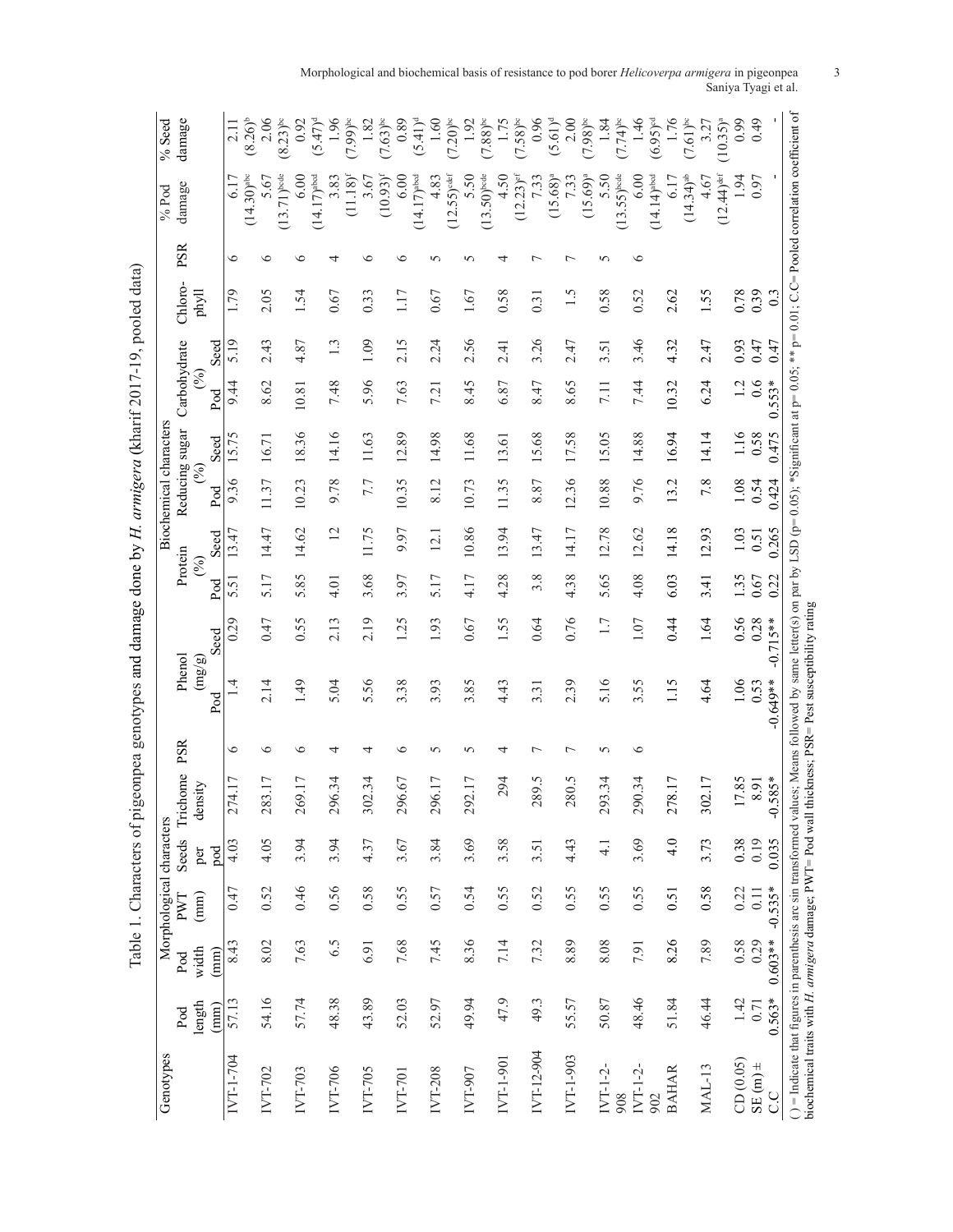| Genotypes                                                                                                                         |               |                 | Morphological characters |               |                          |                |                                            |            |                     |                |                | Biochemical characters |                         |      |         |     | $%$ Pod                                                                                                                                | $%$ Seed               |
|-----------------------------------------------------------------------------------------------------------------------------------|---------------|-----------------|--------------------------|---------------|--------------------------|----------------|--------------------------------------------|------------|---------------------|----------------|----------------|------------------------|-------------------------|------|---------|-----|----------------------------------------------------------------------------------------------------------------------------------------|------------------------|
|                                                                                                                                   | Pod           | Pod             | PWT                      | Seeds         | Trichome                 | PSR            | Phenol                                     |            |                     | Protein        | Reducing sugar |                        | Carbohydrate            |      | Chloro- | PSR | damage                                                                                                                                 | damage                 |
|                                                                                                                                   | length        | width           | $\binom{mm}{mm}$         | per           | density                  |                | $\left(\frac{\text{mg}}{\text{g}}\right)$  |            |                     | $(\%)$         | $(\S_0)$       |                        | $\widehat{\mathcal{E}}$ |      | phyll   |     |                                                                                                                                        |                        |
|                                                                                                                                   | $(\text{mm})$ | $\binom{mm}{m}$ |                          | pod           |                          |                | Pod                                        | Seed       | Pod                 | Seed           | Pod            | Seed                   | Pod                     | Seed |         |     |                                                                                                                                        |                        |
| IVT-1-704                                                                                                                         | 57.13         | 8.43            | 0.47                     | 4.03          | 74.17<br>$\mathbf{\sim}$ | 6              | $\vec{v}$                                  | 0.29       | $\overline{5}$<br>5 | 13.47          | 9.36           | 15.75                  | 9.44                    | 5.19 | 1.79    | ∘   | 6.17                                                                                                                                   | $\frac{11}{2}$         |
|                                                                                                                                   |               |                 |                          |               |                          |                |                                            |            |                     |                |                |                        |                         |      |         |     | $(14.30)$ <sup>abc</sup>                                                                                                               | $(8.26)^{b}$           |
| IVT-702                                                                                                                           | 54.16         | 8.02            | 0.52                     | 4.05          | 83.17<br>$\mathcal{C}$   | $\circ$        | 2.14                                       | 0.47       | 5.17                | 14.47          | 11.37          | 16.71                  | 8.62                    | 2.43 | 2.05    | ⊂   | 5.67                                                                                                                                   | 2.06                   |
|                                                                                                                                   |               |                 |                          |               |                          |                |                                            |            |                     |                |                |                        |                         |      |         |     | $(13.71)$ bode                                                                                                                         | $(8.23)$ <sup>bc</sup> |
| IVT-703                                                                                                                           | 57.74         | 7.63            | 0.46                     | 3.94          | 69.17<br>$\mathcal{C}$   | $\circ$        | 1.49                                       | 0.55       | 85<br>n             | 14.62          | 10.23          | 8.36                   | 10.81                   | 4.87 | 1.54    | €   | 6.00                                                                                                                                   | 0.92                   |
|                                                                                                                                   |               |                 |                          |               |                          |                |                                            |            |                     |                |                |                        |                         |      |         |     | $(14.17)$ <sup>abcd</sup>                                                                                                              | $(5.47)^d$             |
| IVT-706                                                                                                                           | 48.38         | 6.5             | 0.56                     | 3.94          | 96.34<br>$\mathbf{\sim}$ | 4              | 5.04                                       | 2.13       | 4.01                | $\overline{c}$ | 9.78           | 14.16                  | 7.48                    | 1.3  | 0.67    |     | 3.83                                                                                                                                   | 1.96                   |
|                                                                                                                                   |               |                 |                          |               |                          |                |                                            |            |                     |                |                |                        |                         |      |         |     | $(11.18)^t$                                                                                                                            | $(7.99)$ bc            |
| IVT-705                                                                                                                           | 43.89         | 6.91            | 0.58                     | 4.37          | 02.34<br>3               | 4              | 5.56                                       | 2.19       | 3.68                | 11.75          | 7.7            | 11.63                  | 5.96                    | 1.09 | 0.33    | ≌   | 3.67                                                                                                                                   | 1.82                   |
|                                                                                                                                   |               |                 |                          |               |                          |                |                                            |            |                     |                |                |                        |                         |      |         |     | $(10.93)^t$                                                                                                                            | $(7.63)$ <sup>bc</sup> |
| <b>IVT-701</b>                                                                                                                    | 52.03         | 7.68            | 0.55                     | 3.67          | 96.67<br>$\mathbf 2$     | ৩              | 3.38                                       | 1.25       | 3.97                | 9.97           | 10.35          | 12.89                  | 7.63                    | 2.15 | 1.17    | ∘   | 6.00                                                                                                                                   | 0.89                   |
|                                                                                                                                   |               |                 |                          |               |                          |                |                                            |            |                     |                |                |                        |                         |      |         |     | $(14.17)$ <sup>abed</sup>                                                                                                              | $(5.41)^d$             |
| IVT-208                                                                                                                           | 52.97         | 7.45            | 0.57                     | 3.84          | 96.17<br>$\mathbf 2$     | 5              | 3.93                                       | 1.93       | 5.17                | 12.1           | 8.12           | 14.98                  | 7.21                    | 2.24 | 0.67    | n   | 4.83                                                                                                                                   | 1.60                   |
|                                                                                                                                   |               |                 |                          |               |                          |                |                                            |            |                     |                |                |                        |                         |      |         |     | $(12.55)$ <sup>def</sup>                                                                                                               | $(7.20)$ <sup>bc</sup> |
| IVT-907                                                                                                                           | 49.94         | 8.36            | 0.54                     | 3.69          | 92.17<br>$\mathbf 2$     | 5              | 3.85                                       | 0.67       | 4.17                | 10.86          | 10.73          | 11.68                  | 8.45                    | 2.56 | 1.67    | n   | 5.50                                                                                                                                   | 1.92                   |
|                                                                                                                                   |               |                 |                          |               |                          |                |                                            |            |                     |                |                |                        |                         |      |         |     | $(13.50)$ bode                                                                                                                         | $(7.88)$ <sup>bc</sup> |
| IVT-1-901                                                                                                                         | 47.9          | 7.14            | 0.55                     | 3.58          | 294                      | 4              | 4.43                                       | 1.55       | 4.28                | 13.94          | 11.35          | 13.61                  | 6.87                    | 2.41 | 0.58    | ₹   | 4.50                                                                                                                                   | 1.75                   |
|                                                                                                                                   |               |                 |                          |               |                          |                |                                            |            |                     |                |                |                        |                         |      |         |     | $(12.23)$ <sup>ef</sup>                                                                                                                | $(7.58)$ <sup>bc</sup> |
| IVT-12-904                                                                                                                        | 49.3          | 7.32            | 0.52                     | 3.51          | Š.<br>289.               | Γ              | 3.31                                       | 0.64       | 3.8                 | 13.47          | 8.87           | 15.68                  | 8.47                    | 3.26 | 0.31    |     | 7.33                                                                                                                                   | 0.96                   |
|                                                                                                                                   |               |                 |                          |               |                          |                |                                            |            |                     |                |                |                        |                         |      |         |     | $(15.68)^{a}$                                                                                                                          | $(5.61)^d$             |
| IVT-1-903                                                                                                                         | 55.57         | 8.89            | 0.55                     | 4.43          | 280.5                    | $\overline{ }$ | 2.39                                       | 0.76       | 4.38                | 14.17          | 12.36          | 17.58                  | 8.65                    | 2.47 | 1.5     |     | 7.33                                                                                                                                   | 2.00                   |
|                                                                                                                                   |               |                 |                          |               |                          |                |                                            |            |                     |                |                |                        |                         |      |         |     | $(15.69)^{a}$                                                                                                                          | $(7.98)$ <sup>bc</sup> |
| $IVI-1-2-$                                                                                                                        | 50.87         | 8.08            | 0.55                     | $\frac{1}{4}$ | 93.34<br>$\mathbf 2$     | 5              | 5.16                                       | 1.7        | .65<br>n            | 12.78          | 10.88          | 15.05                  | 7.11                    | 3.51 | 0.58    | S   | 5.50                                                                                                                                   | 1.84                   |
| 908                                                                                                                               |               |                 |                          |               |                          |                |                                            |            |                     |                |                |                        |                         |      |         |     | $(13.55)$ bode                                                                                                                         | $(7.74)$ <sup>bc</sup> |
| $IVI-1-2-$                                                                                                                        | 48.46         | 7.91            | 0.55                     | 3.69          | 90.34<br>$\mathbf 2$     | $\circ$        | 3.55                                       | 1.07       | 4.08                | 12.62          | 9.76           | 14.88                  | 7.44                    | 3.46 | 0.52    | ७   | 6.00                                                                                                                                   | 1.46                   |
| 902                                                                                                                               |               |                 |                          |               |                          |                |                                            |            |                     |                |                |                        |                         |      |         |     | $(14.14)$ <sup>abed</sup>                                                                                                              | $(6.95)$ <sup>od</sup> |
| <b>BAHAR</b>                                                                                                                      | 51.84         | 8.26            | 0.51                     | 4.0           | 78.17<br>$\mathbf 2$     |                | 1.15                                       | 0.44       | 6.03                | 14.18          | 13.2           | 16.94                  | 10.32                   | 4.32 | 2.62    |     | 6.17                                                                                                                                   | 1.76                   |
|                                                                                                                                   |               |                 |                          |               |                          |                |                                            |            |                     |                |                |                        |                         |      |         |     | $(14.34)$ <sup>ab</sup>                                                                                                                | $(7.61)$ <sup>bc</sup> |
| <b>MAL-13</b>                                                                                                                     | 46.44         | 7.89            | 0.58                     | 3.73          | 02.17<br>3               |                | 4.64                                       | 1.64       | 3.41                | 12.93          | 7.8            | 14.14                  | 6.24                    | 2.47 | 1.55    |     | 4.67                                                                                                                                   | 3.27                   |
|                                                                                                                                   |               |                 |                          |               |                          |                |                                            |            |                     |                |                |                        |                         |      |         |     | $(12.44)$ <sup>def</sup>                                                                                                               | $(10.35)^{a}$          |
| CD(0.05)                                                                                                                          | 1.42          | 0.58            | 0.22                     | 0.38          | 17.85                    |                | 1.06                                       | 0.56       | 1.35                | 1.03           | 0.08           | 1.16                   | $\overline{1}$          | 0.93 | 0.78    |     | 1.94                                                                                                                                   | 0.99                   |
| $=$ (m) $\pm$                                                                                                                     | 0.71          | 0.29            | 0.11                     | 0.19          | 8.91                     |                | 0.53                                       | 0.28       | 0.67                | 0.51           | 0.54           | 0.58                   | 0.6                     | 0.47 | 0.39    |     | 0.97                                                                                                                                   | 64.0                   |
| C.C                                                                                                                               | $0.563*$      | $0.603**$       | $-0.535*$                | 0.035         | $.585*$<br>P             |                | $-0.649**$                                 | $-0.715**$ | 0.22                | 0.265          | 0.424          | 0.475                  | 553*<br>Ö               | 0.47 | 0.3     |     |                                                                                                                                        |                        |
| $( ) =$ Indicate that figures in parenthesis arc sin transformed val<br>biochemical traits with H. armigera damage; PWT= Pod wall |               |                 |                          |               |                          |                | thickness; PSR= Pest susceptibility rating |            |                     |                |                |                        |                         |      |         |     | ues; Means followed by same letter(s) on par by LSD (p=0.05); *Significant at p=0.05; ** p=0.01; C.C=Pooled correlation coefficient of |                        |
|                                                                                                                                   |               |                 |                          |               |                          |                |                                            |            |                     |                |                |                        |                         |      |         |     |                                                                                                                                        |                        |

Table 1. Characters of pigeonpea genotypes and damage done by H. armigera (kharif 2017-19, pooled data) Table 1. Characters of pigeonpea genotypes and damage done by *H. armigera* (kharif 2017-19, pooled data)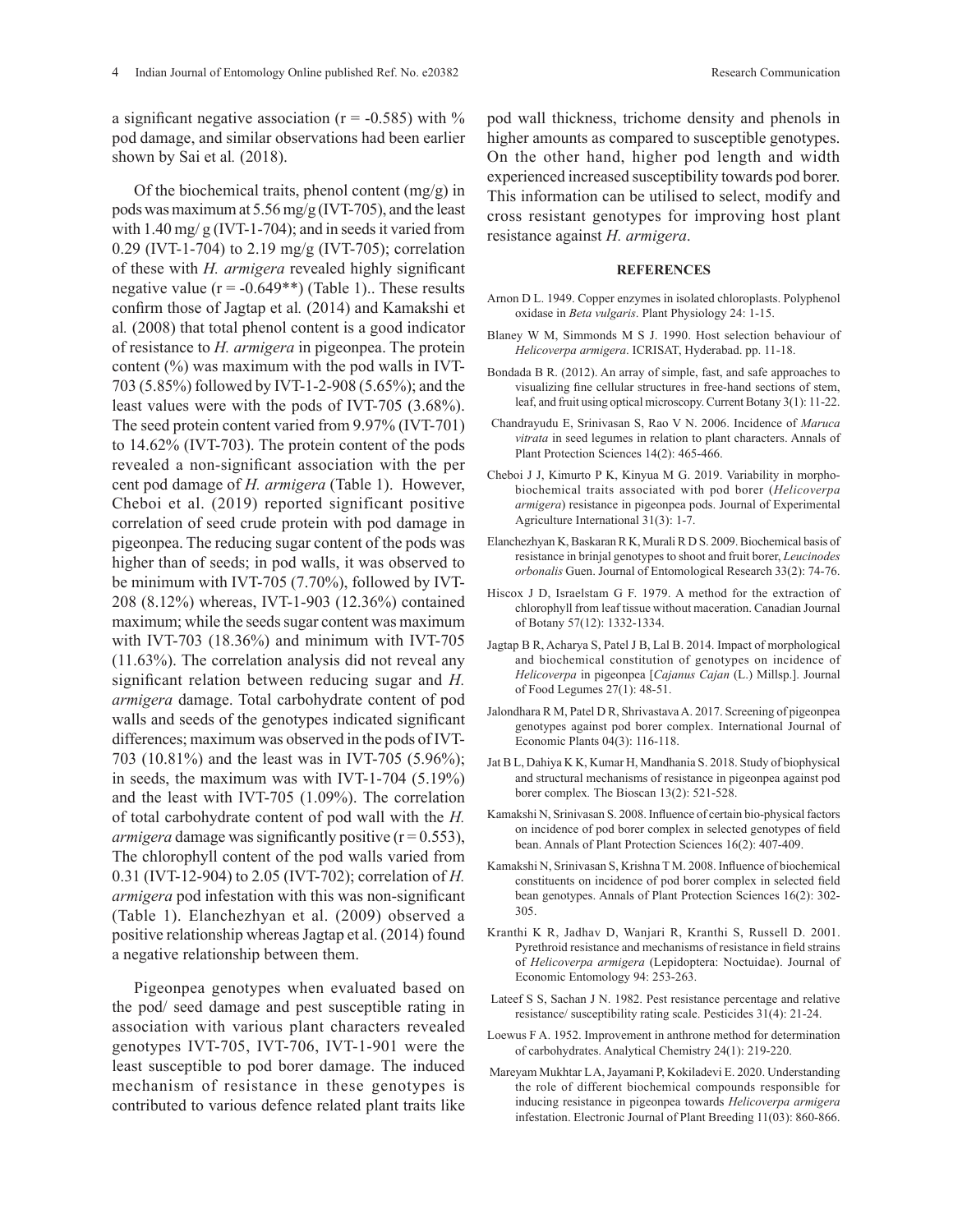a significant negative association ( $r = -0.585$ ) with % pod damage, and similar observations had been earlier shown by Sai et al*.* (2018).

Of the biochemical traits, phenol content (mg/g) in pods was maximum at 5.56 mg/g (IVT-705), and the least with  $1.40 \,\text{mg}/\text{g}$  (IVT-1-704); and in seeds it varied from 0.29 (IVT-1-704) to 2.19 mg/g (IVT-705); correlation of these with *H. armigera* revealed highly significant negative value  $(r = -0.649**)$  (Table 1).. These results confirm those of Jagtap et al*.* (2014) and Kamakshi et al*.* (2008) that total phenol content is a good indicator of resistance to *H. armigera* in pigeonpea. The protein content  $(\%)$  was maximum with the pod walls in IVT-703 (5.85%) followed by IVT-1-2-908 (5.65%); and the least values were with the pods of IVT-705 (3.68%). The seed protein content varied from 9.97% (IVT-701) to 14.62% (IVT-703). The protein content of the pods revealed a non-significant association with the per cent pod damage of *H. armigera* (Table 1). However, Cheboi et al. (2019) reported significant positive correlation of seed crude protein with pod damage in pigeonpea. The reducing sugar content of the pods was higher than of seeds; in pod walls, it was observed to be minimum with IVT-705 (7.70%), followed by IVT-208 (8.12%) whereas, IVT-1-903 (12.36%) contained maximum; while the seeds sugar content was maximum with IVT-703 (18.36%) and minimum with IVT-705 (11.63%). The correlation analysis did not reveal any significant relation between reducing sugar and *H. armigera* damage. Total carbohydrate content of pod walls and seeds of the genotypes indicated significant differences; maximum was observed in the pods of IVT-703 (10.81%) and the least was in IVT-705 (5.96%); in seeds, the maximum was with IVT-1-704 (5.19%) and the least with IVT-705 (1.09%). The correlation of total carbohydrate content of pod wall with the *H. armigera* damage was significantly positive  $(r = 0.553)$ , The chlorophyll content of the pod walls varied from 0.31 (IVT-12-904) to 2.05 (IVT-702); correlation of *H. armigera* pod infestation with this was non-significant (Table 1). Elanchezhyan et al. (2009) observed a positive relationship whereas Jagtap et al. (2014) found a negative relationship between them.

Pigeonpea genotypes when evaluated based on the pod/ seed damage and pest susceptible rating in association with various plant characters revealed genotypes IVT-705, IVT-706, IVT-1-901 were the least susceptible to pod borer damage. The induced mechanism of resistance in these genotypes is contributed to various defence related plant traits like

pod wall thickness, trichome density and phenols in higher amounts as compared to susceptible genotypes. On the other hand, higher pod length and width experienced increased susceptibility towards pod borer. This information can be utilised to select, modify and cross resistant genotypes for improving host plant resistance against *H. armigera*.

#### **REFERENCES**

- Arnon D L. 1949. Copper enzymes in isolated chloroplasts. Polyphenol oxidase in *Beta vulgaris*. Plant Physiology 24: 1-15.
- Blaney W M, Simmonds M S J. 1990. Host selection behaviour of *Helicoverpa armigera*. ICRISAT, Hyderabad. pp. 11-18.
- Bondada B R. (2012). An array of simple, fast, and safe approaches to visualizing fine cellular structures in free-hand sections of stem, leaf, and fruit using optical microscopy. Current Botany 3(1): 11-22.
- Chandrayudu E, Srinivasan S, Rao V N. 2006. Incidence of *Maruca vitrata* in seed legumes in relation to plant characters. Annals of Plant Protection Sciences 14(2): 465-466.
- Cheboi J J, Kimurto P K, Kinyua M G. 2019. Variability in morphobiochemical traits associated with pod borer (*Helicoverpa armigera*) resistance in pigeonpea pods. Journal of Experimental Agriculture International 31(3): 1-7.
- Elanchezhyan K, Baskaran R K, Murali R D S. 2009. Biochemical basis of resistance in brinjal genotypes to shoot and fruit borer, *Leucinodes orbonalis* Guen. Journal of Entomological Research 33(2): 74-76.
- Hiscox J D, Israelstam G F. 1979. A method for the extraction of chlorophyll from leaf tissue without maceration. Canadian Journal of Botany 57(12): 1332-1334.
- Jagtap B R, Acharya S, Patel J B, Lal B. 2014. Impact of morphological and biochemical constitution of genotypes on incidence of *Helicoverpa* in pigeonpea [*Cajanus Cajan* (L.) Millsp.]. Journal of Food Legumes 27(1): 48-51.
- Jalondhara R M, Patel D R, Shrivastava A. 2017. Screening of pigeonpea genotypes against pod borer complex. International Journal of Economic Plants 04(3): 116-118.
- Jat B L, Dahiya K K, Kumar H, Mandhania S. 2018. Study of biophysical and structural mechanisms of resistance in pigeonpea against pod borer complex*.* The Bioscan 13(2): 521-528.
- Kamakshi N, Srinivasan S. 2008. Influence of certain bio-physical factors on incidence of pod borer complex in selected genotypes of field bean. Annals of Plant Protection Sciences 16(2): 407-409.
- Kamakshi N, Srinivasan S, Krishna T M. 2008. Influence of biochemical constituents on incidence of pod borer complex in selected field bean genotypes. Annals of Plant Protection Sciences 16(2): 302- 305.
- Kranthi K R, Jadhav D, Wanjari R, Kranthi S, Russell D. 2001. Pyrethroid resistance and mechanisms of resistance in field strains of *Helicoverpa armigera* (Lepidoptera: Noctuidae). Journal of Economic Entomology 94: 253-263.
- Lateef S S, Sachan J N. 1982. Pest resistance percentage and relative resistance/ susceptibility rating scale. Pesticides 31(4): 21-24.
- Loewus F A. 1952. Improvement in anthrone method for determination of carbohydrates. Analytical Chemistry 24(1): 219-220.
- Mareyam Mukhtar LA, Jayamani P, Kokiladevi E. 2020. Understanding the role of different biochemical compounds responsible for inducing resistance in pigeonpea towards *Helicoverpa armigera* infestation. Electronic Journal of Plant Breeding 11(03): 860-866.